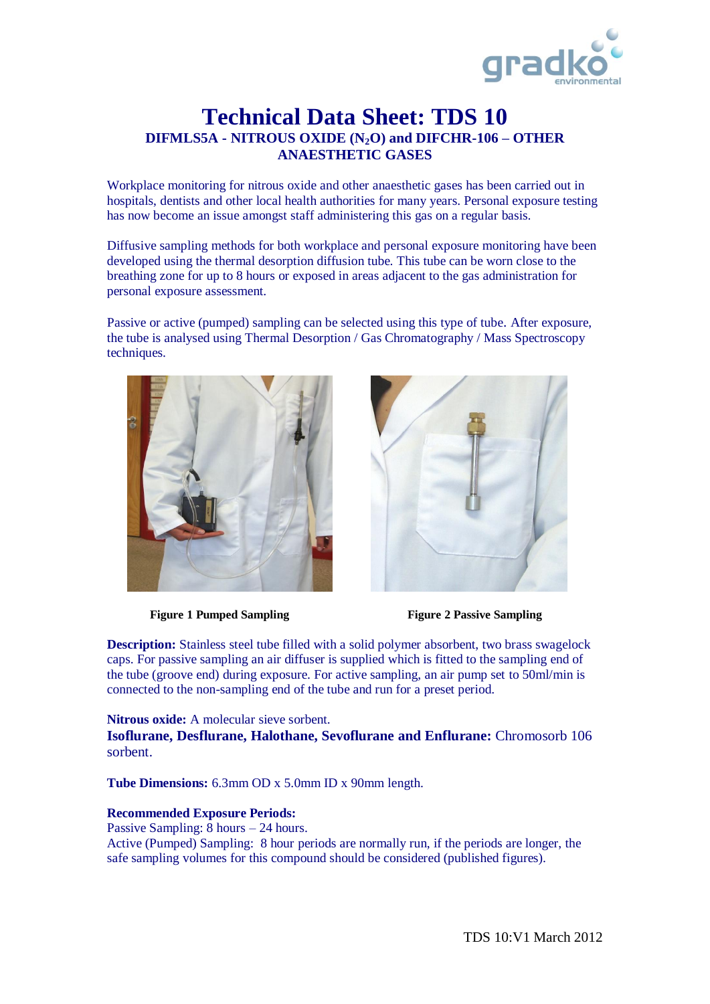

## **Technical Data Sheet: TDS 10 DIFMLS5A - NITROUS OXIDE (N2O) and DIFCHR-106 – OTHER ANAESTHETIC GASES**

Workplace monitoring for nitrous oxide and other anaesthetic gases has been carried out in hospitals, dentists and other local health authorities for many years. Personal exposure testing has now become an issue amongst staff administering this gas on a regular basis.

Diffusive sampling methods for both workplace and personal exposure monitoring have been developed using the thermal desorption diffusion tube. This tube can be worn close to the breathing zone for up to 8 hours or exposed in areas adjacent to the gas administration for personal exposure assessment.

Passive or active (pumped) sampling can be selected using this type of tube. After exposure, the tube is analysed using Thermal Desorption / Gas Chromatography / Mass Spectroscopy techniques.



**Figure 1 Pumped Sampling Figure 2 Passive Sampling**



**Description:** Stainless steel tube filled with a solid polymer absorbent, two brass swagelock caps. For passive sampling an air diffuser is supplied which is fitted to the sampling end of the tube (groove end) during exposure. For active sampling, an air pump set to 50ml/min is connected to the non-sampling end of the tube and run for a preset period.

**Nitrous oxide:** A molecular sieve sorbent. **Isoflurane, Desflurane, Halothane, Sevoflurane and Enflurane:** Chromosorb 106 sorbent.

**Tube Dimensions:** 6.3mm OD x 5.0mm ID x 90mm length.

## **Recommended Exposure Periods:**

Passive Sampling: 8 hours – 24 hours. Active (Pumped) Sampling: 8 hour periods are normally run, if the periods are longer, the safe sampling volumes for this compound should be considered (published figures).